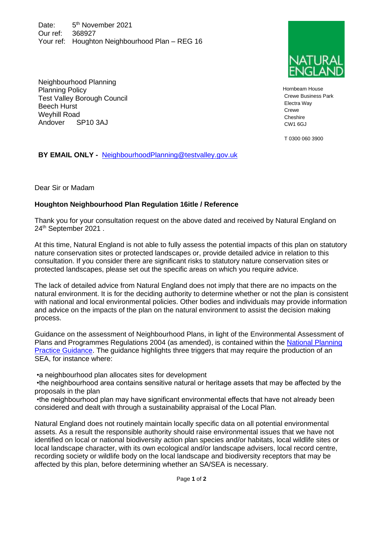Date: 5<sup>th</sup> November 2021 Our ref: 368927 Your ref: Houghton Neighbourhood Plan – REG 16

Hornbeam House Crewe Business Park Electra Way Crewe Cheshire CW1 6GJ

T 0300 060 3900

Neighbourhood Planning Planning Policy Test Valley Borough Council Beech Hurst Weyhill Road Andover SP10 3AJ

**BY EMAIL ONLY -** [NeighbourhoodPlanning@testvalley.gov.uk](mailto:NeighbourhoodPlanning@testvalley.gov.uk)

Dear Sir or Madam

## **Houghton Neighbourhood Plan Regulation 16itle / Reference**

Thank you for your consultation request on the above dated and received by Natural England on 24th September 2021 .

At this time, Natural England is not able to fully assess the potential impacts of this plan on statutory nature conservation sites or protected landscapes or, provide detailed advice in relation to this consultation. If you consider there are significant risks to statutory nature conservation sites or protected landscapes, please set out the specific areas on which you require advice.

The lack of detailed advice from Natural England does not imply that there are no impacts on the natural environment. It is for the deciding authority to determine whether or not the plan is consistent with national and local environmental policies. Other bodies and individuals may provide information and advice on the impacts of the plan on the natural environment to assist the decision making process.

Guidance on the assessment of Neighbourhood Plans, in light of the Environmental Assessment of Plans and Programmes Regulations 2004 (as amended), is contained within the [National Planning](https://www.gov.uk/guidance/strategic-environmental-assessment-and-sustainability-appraisal)  [Practice Guidance.](https://www.gov.uk/guidance/strategic-environmental-assessment-and-sustainability-appraisal) The guidance highlights three triggers that may require the production of an SEA, for instance where:

•a neighbourhood plan allocates sites for development

•the neighbourhood area contains sensitive natural or heritage assets that may be affected by the proposals in the plan

•the neighbourhood plan may have significant environmental effects that have not already been considered and dealt with through a sustainability appraisal of the Local Plan.

Natural England does not routinely maintain locally specific data on all potential environmental assets. As a result the responsible authority should raise environmental issues that we have not identified on local or national biodiversity action plan species and/or habitats, local wildlife sites or local landscape character, with its own ecological and/or landscape advisers, local record centre, recording society or wildlife body on the local landscape and biodiversity receptors that may be affected by this plan, before determining whether an SA/SEA is necessary.